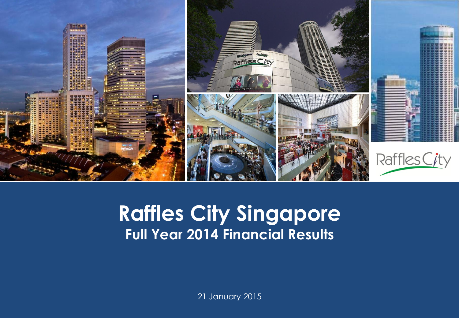

#### **Capital Raffles City Singapore Presentation Template Full Year 2014 Financial Results**

21 January 2015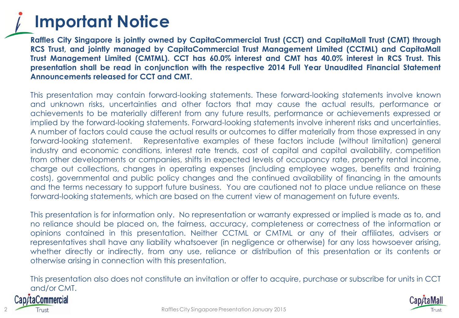#### **Important Notice**

**Raffles City Singapore is jointly owned by CapitaCommercial Trust (CCT) and CapitaMall Trust (CMT) through RCS Trust, and jointly managed by CapitaCommercial Trust Management Limited (CCTML) and CapitaMall Trust Management Limited (CMTML). CCT has 60.0% interest and CMT has 40.0% interest in RCS Trust. This presentation shall be read in conjunction with the respective 2014 Full Year Unaudited Financial Statement Announcements released for CCT and CMT.**

This presentation may contain forward-looking statements. These forward-looking statements involve known and unknown risks, uncertainties and other factors that may cause the actual results, performance or achievements to be materially different from any future results, performance or achievements expressed or implied by the forward-looking statements. Forward-looking statements involve inherent risks and uncertainties. A number of factors could cause the actual results or outcomes to differ materially from those expressed in any forward-looking statement. Representative examples of these factors include (without limitation) general industry and economic conditions, interest rate trends, cost of capital and capital availability, competition from other developments or companies, shifts in expected levels of occupancy rate, property rental income, charge out collections, changes in operating expenses (including employee wages, benefits and training costs), governmental and public policy changes and the continued availability of financing in the amounts and the terms necessary to support future business. You are cautioned not to place undue reliance on these forward-looking statements, which are based on the current view of management on future events.

This presentation is for information only. No representation or warranty expressed or implied is made as to, and no reliance should be placed on, the fairness, accuracy, completeness or correctness of the information or opinions contained in this presentation. Neither CCTML or CMTML or any of their affiliates, advisers or representatives shall have any liability whatsoever (in negligence or otherwise) for any loss howsoever arising, whether directly or indirectly, from any use, reliance or distribution of this presentation or its contents or otherwise arising in connection with this presentation.

This presentation also does not constitute an invitation or offer to acquire, purchase or subscribe for units in CCT and/or CMT.



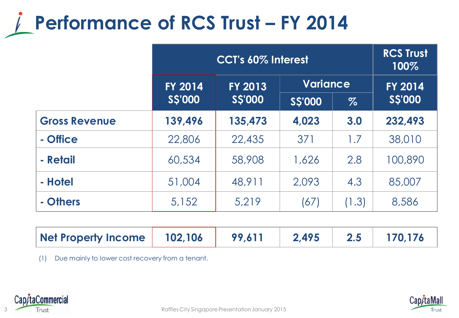## **Performance of RCS Trust - FY 2014**

|                      | CCT's 60% Interest |                |                 | <b>RCS Trust</b><br>100% |                |
|----------------------|--------------------|----------------|-----------------|--------------------------|----------------|
|                      | <b>FY 2014</b>     | <b>FY 2013</b> | <b>Variance</b> |                          | <b>FY 2014</b> |
|                      | <b>S\$'000</b>     | <b>S\$'000</b> | <b>SS'000</b>   | $\%$                     | <b>SS'000</b>  |
| <b>Gross Revenue</b> | 139,496            | 135,473        | 4,023           | 3.0                      | 232,493        |
| - Office             | 22,806             | 22,435         | 371             | 1.7                      | 38,010         |
| - Retail             | 60,534             | 58,908         | 1,626           | 2.8                      | 100,890        |
| - Hotel              | 51,004             | 48,911         | 2,093           | 4.3                      | 85,007         |
| - Others             | 5,152              | 5,219          | (67)            | (1.3)                    | 8,586          |

| Net Property Income   102,106   99,611   2,495   2.5   170,176 |  |  |  |  |  |  |
|----------------------------------------------------------------|--|--|--|--|--|--|
|----------------------------------------------------------------|--|--|--|--|--|--|

(1) Due mainly to lower cost recovery from a tenant.



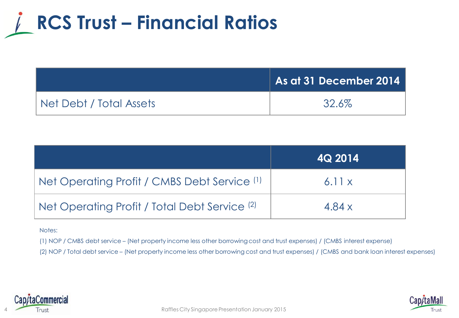## **RCS Trust – Financial Ratios**

|                         | As at 31 December 2014 |
|-------------------------|------------------------|
| Net Debt / Total Assets | 32.6%                  |

|                                                          | 4Q 2014 |
|----------------------------------------------------------|---------|
| Net Operating Profit / CMBS Debt Service (1)             | 6.11x   |
| Net Operating Profit / Total Debt Service <sup>(2)</sup> | 4.84 x  |

Notes:

(1) NOP / CMBS debt service – (Net property income less other borrowing cost and trust expenses) / (CMBS interest expense)

(2) NOP / Total debt service – (Net property income less other borrowing cost and trust expenses) / (CMBS and bank loan interest expenses)



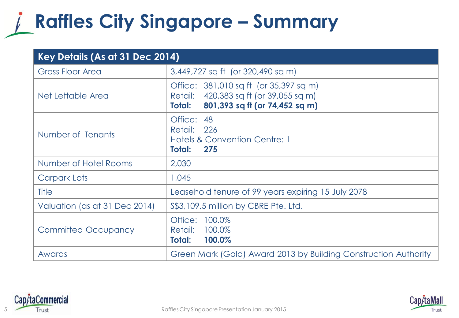#### **Raffles City Singapore – Summary**

| Key Details (As at 31 Dec 2014) |                                                                                                                              |  |
|---------------------------------|------------------------------------------------------------------------------------------------------------------------------|--|
| <b>Gross Floor Area</b>         | 3,449,727 sq ft (or 320,490 sq m)                                                                                            |  |
| Net Lettable Area               | Office: 381,010 sq ft (or 35,397 sq m)<br>Retail: 420,383 sq ft (or 39,055 sq m)<br>801,393 sq ft (or 74,452 sq m)<br>Total: |  |
| Number of Tenants               | Office: 48<br>Retail: 226<br><b>Hotels &amp; Convention Centre: 1</b><br>Total:<br>275                                       |  |
| Number of Hotel Rooms           | 2,030                                                                                                                        |  |
| Carpark Lots                    | 1,045                                                                                                                        |  |
| <b>Title</b>                    | Leasehold tenure of 99 years expiring 15 July 2078                                                                           |  |
| Valuation (as at 31 Dec 2014)   | \$\$3,109.5 million by CBRE Pte. Ltd.                                                                                        |  |
| <b>Committed Occupancy</b>      | 100.0%<br>Office:<br>100.0%<br>Retail:<br>100.0%<br>Total:                                                                   |  |
| Awards                          | Green Mark (Gold) Award 2013 by Building Construction Authority                                                              |  |



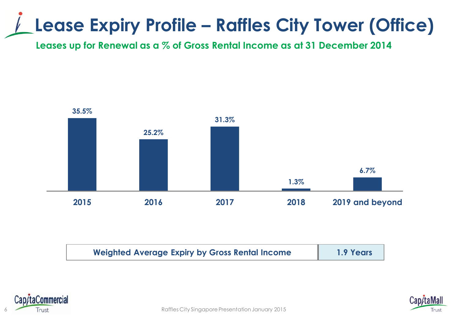### **Lease Expiry Profile – Raffles City Tower (Office)**

**Leases up for Renewal as a % of Gross Rental Income as at 31 December 2014**



| <b>Weighted Average Expiry by Gross Rental Income</b> | 1.9 Years |
|-------------------------------------------------------|-----------|
|                                                       |           |





6 Raffles City Singapore Presentation January 2015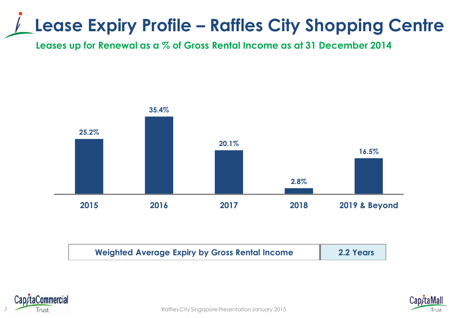#### **Lease Expiry Profile – Raffles City Shopping Centre**

**Leases up for Renewal as a % of Gross Rental Income as at 31 December 2014**



| <b>Weighted Average Expiry by Gross Rental Income</b> | 2.2 Years |
|-------------------------------------------------------|-----------|
|                                                       |           |



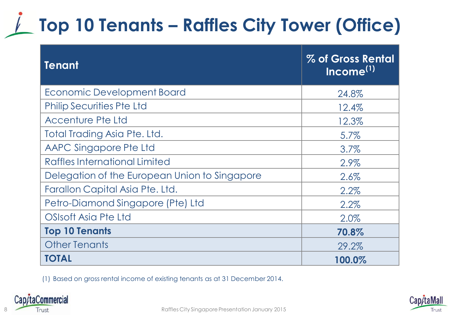# **Top 10 Tenants – Raffles City Tower (Office)**

| <b>Tenant</b>                                 | % of Gross Rental<br>Income <sup>(1)</sup> |
|-----------------------------------------------|--------------------------------------------|
| <b>Economic Development Board</b>             | 24.8%                                      |
| <b>Philip Securities Pte Ltd</b>              | 12.4%                                      |
| <b>Accenture Pte Ltd</b>                      | 12.3%                                      |
| Total Trading Asia Pte. Ltd.                  | 5.7%                                       |
| AAPC Singapore Pte Ltd                        | 3.7%                                       |
| Raffles International Limited                 | 2.9%                                       |
| Delegation of the European Union to Singapore | 2.6%                                       |
| Farallon Capital Asia Pte. Ltd.               | 2.2%                                       |
| Petro-Diamond Singapore (Pte) Ltd             | 2.2%                                       |
| OSIsoft Asia Pte Ltd                          | 2.0%                                       |
| <b>Top 10 Tenants</b>                         | 70.8%                                      |
| <b>Other Tenants</b>                          | 29.2%                                      |
| TOTAL                                         | 100.0%                                     |

(1) Based on gross rental income of existing tenants as at 31 December 2014.



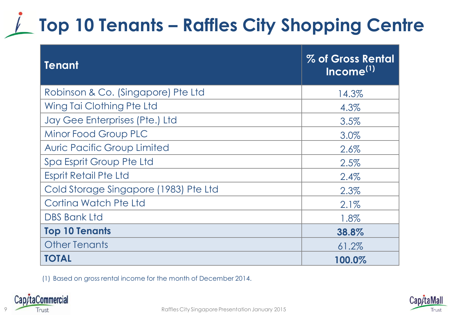# **Top 10 Tenants – Raffles City Shopping Centre**

| <b>Tenant</b>                         | % of Gross Rental<br>Income <sup>(1)</sup> |
|---------------------------------------|--------------------------------------------|
| Robinson & Co. (Singapore) Pte Ltd    | 14.3%                                      |
| Wing Tai Clothing Pte Ltd             | 4.3%                                       |
| Jay Gee Enterprises (Pte.) Ltd        | 3.5%                                       |
| Minor Food Group PLC                  | 3.0%                                       |
| <b>Auric Pacific Group Limited</b>    | 2.6%                                       |
| Spa Esprit Group Pte Ltd              | 2.5%                                       |
| <b>Esprit Retail Pte Ltd</b>          | 2.4%                                       |
| Cold Storage Singapore (1983) Pte Ltd | 2.3%                                       |
| Cortina Watch Pte Ltd                 | 2.1%                                       |
| <b>DBS Bank Ltd</b>                   | 1.8%                                       |
| <b>Top 10 Tenants</b>                 | 38.8%                                      |
| <b>Other Tenants</b>                  | 61.2%                                      |
| <b>TOTAL</b>                          | 100.0%                                     |

(1) Based on gross rental income for the month of December 2014.



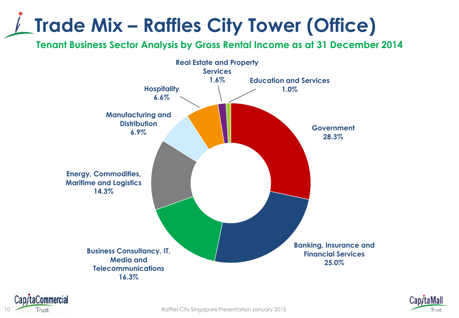# **Trade Mix – Raffles City Tower (Office)**

**Tenant Business Sector Analysis by Gross Rental Income as at 31 December 2014**





10 **10 Trust Trust Trust Example 2015 Raffles City Singapore Presentation January 2015** 

taCommercial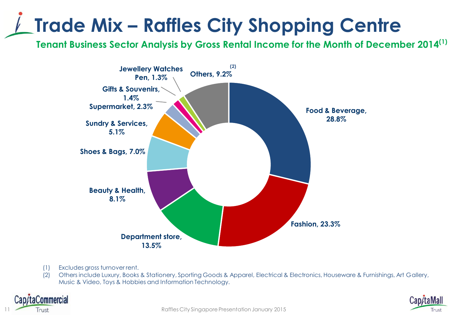# **Trade Mix – Raffles City Shopping Centre**

**Tenant Business Sector Analysis by Gross Rental Income for the Month of December 2014(1)**



- (1) Excludes gross turnover rent.
- (2) Others include Luxury, Books & Stationery, Sporting Goods & Apparel, Electrical & Electronics, Houseware & Furnishings, Art Gallery, Music & Video, Toys & Hobbies and Information Technology.